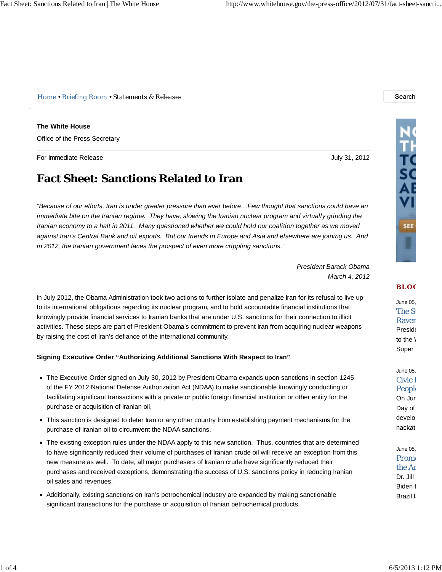*Home • Briefing Room • Statements & Releases* Search

**The White House**

Office of the Press Secretary

For Immediate Release July 31, 2012

# **Fact Sheet: Sanctions Related to Iran**

*"Because of our efforts, Iran is under greater pressure than ever before…Few thought that sanctions could have an immediate bite on the Iranian regime. They have, slowing the Iranian nuclear program and virtually grinding the Iranian economy to a halt in 2011. Many questioned whether we could hold our coalition together as we moved against Iran's Central Bank and oil exports. But our friends in Europe and Asia and elsewhere are joining us. And in 2012, the Iranian government faces the prospect of even more crippling sanctions."*

> *President Barack Obama March 4, 2012*

In July 2012, the Obama Administration took two actions to further isolate and penalize Iran for its refusal to live up to its international obligations regarding its nuclear program, and to hold accountable financial institutions that knowingly provide financial services to Iranian banks that are under U.S. sanctions for their connection to illicit activities. These steps are part of President Obama's commitment to prevent Iran from acquiring nuclear weapons by raising the cost of Iran's defiance of the international community.

#### **Signing Executive Order "Authorizing Additional Sanctions With Respect to Iran"**

- The Executive Order signed on July 30, 2012 by President Obama expands upon sanctions in section 1245 of the FY 2012 National Defense Authorization Act (NDAA) to make sanctionable knowingly conducting or facilitating significant transactions with a private or public foreign financial institution or other entity for the purchase or acquisition of Iranian oil.
- This sanction is designed to deter Iran or any other country from establishing payment mechanisms for the purchase of Iranian oil to circumvent the NDAA sanctions.
- The existing exception rules under the NDAA apply to this new sanction. Thus, countries that are determined to have significantly reduced their volume of purchases of Iranian crude oil will receive an exception from this new measure as well. To date, all major purchasers of Iranian crude have significantly reduced their purchases and received exceptions, demonstrating the success of U.S. sanctions policy in reducing Iranian oil sales and revenues.
- Additionally, existing sanctions on Iran's petrochemical industry are expanded by making sanctionable significant transactions for the purchase or acquisition of Iranian petrochemical products.



#### **BLO G**

June 05, The Su **Raver Preside** to the  $\sqrt{ }$ Super

June 05, Civic 1 **People** On Jun Day of develo hackat

June 05, Promo the Ar Dr. Jill Biden t Brazil I.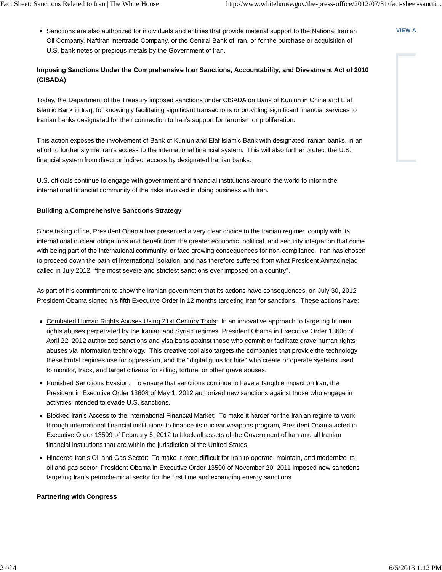**VIEW A**

Sanctions are also authorized for individuals and entities that provide material support to the National Iranian Oil Company, Naftiran Intertrade Company, or the Central Bank of Iran, or for the purchase or acquisition of U.S. bank notes or precious metals by the Government of Iran.

## **Imposing Sanctions Under the Comprehensive Iran Sanctions, Accountability, and Divestment Act of 2010 (CISADA)**

Today, the Department of the Treasury imposed sanctions under CISADA on Bank of Kunlun in China and Elaf Islamic Bank in Iraq, for knowingly facilitating significant transactions or providing significant financial services to Iranian banks designated for their connection to Iran's support for terrorism or proliferation.

This action exposes the involvement of Bank of Kunlun and Elaf Islamic Bank with designated Iranian banks, in an effort to further stymie Iran's access to the international financial system. This will also further protect the U.S. financial system from direct or indirect access by designated Iranian banks.

U.S. officials continue to engage with government and financial institutions around the world to inform the international financial community of the risks involved in doing business with Iran.

### **Building a Comprehensive Sanctions Strategy**

Since taking office, President Obama has presented a very clear choice to the Iranian regime: comply with its international nuclear obligations and benefit from the greater economic, political, and security integration that come with being part of the international community, or face growing consequences for non-compliance. Iran has chosen to proceed down the path of international isolation, and has therefore suffered from what President Ahmadinejad called in July 2012, "the most severe and strictest sanctions ever imposed on a country".

As part of his commitment to show the Iranian government that its actions have consequences, on July 30, 2012 President Obama signed his fifth Executive Order in 12 months targeting Iran for sanctions. These actions have:

- Combated Human Rights Abuses Using 21st Century Tools: In an innovative approach to targeting human rights abuses perpetrated by the Iranian and Syrian regimes, President Obama in Executive Order 13606 of April 22, 2012 authorized sanctions and visa bans against those who commit or facilitate grave human rights abuses via information technology. This creative tool also targets the companies that provide the technology these brutal regimes use for oppression, and the "digital guns for hire" who create or operate systems used to monitor, track, and target citizens for killing, torture, or other grave abuses.
- Punished Sanctions Evasion: To ensure that sanctions continue to have a tangible impact on Iran, the President in Executive Order 13608 of May 1, 2012 authorized new sanctions against those who engage in activities intended to evade U.S. sanctions.
- Blocked Iran's Access to the International Financial Market: To make it harder for the Iranian regime to work through international financial institutions to finance its nuclear weapons program, President Obama acted in Executive Order 13599 of February 5, 2012 to block all assets of the Government of Iran and all Iranian financial institutions that are within the jurisdiction of the United States.
- Hindered Iran's Oil and Gas Sector: To make it more difficult for Iran to operate, maintain, and modernize its oil and gas sector, President Obama in Executive Order 13590 of November 20, 2011 imposed new sanctions targeting Iran's petrochemical sector for the first time and expanding energy sanctions.

#### **Partnering with Congress**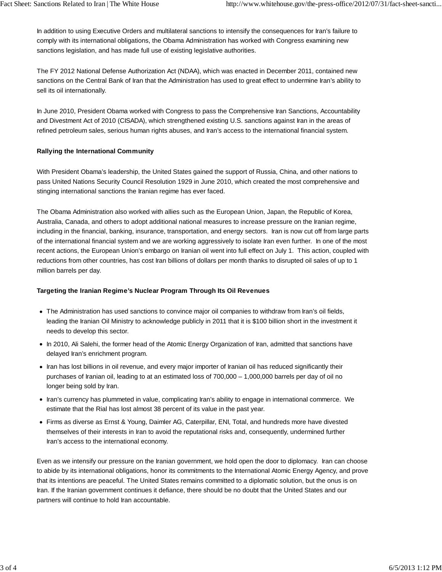In addition to using Executive Orders and multilateral sanctions to intensify the consequences for Iran's failure to comply with its international obligations, the Obama Administration has worked with Congress examining new sanctions legislation, and has made full use of existing legislative authorities.

The FY 2012 National Defense Authorization Act (NDAA), which was enacted in December 2011, contained new sanctions on the Central Bank of Iran that the Administration has used to great effect to undermine Iran's ability to sell its oil internationally.

In June 2010, President Obama worked with Congress to pass the Comprehensive Iran Sanctions, Accountability and Divestment Act of 2010 (CISADA), which strengthened existing U.S. sanctions against Iran in the areas of refined petroleum sales, serious human rights abuses, and Iran's access to the international financial system.

#### **Rallying the International Community**

With President Obama's leadership, the United States gained the support of Russia, China, and other nations to pass United Nations Security Council Resolution 1929 in June 2010, which created the most comprehensive and stinging international sanctions the Iranian regime has ever faced.

The Obama Administration also worked with allies such as the European Union, Japan, the Republic of Korea, Australia, Canada, and others to adopt additional national measures to increase pressure on the Iranian regime, including in the financial, banking, insurance, transportation, and energy sectors. Iran is now cut off from large parts of the international financial system and we are working aggressively to isolate Iran even further. In one of the most recent actions, the European Union's embargo on Iranian oil went into full effect on July 1. This action, coupled with reductions from other countries, has cost Iran billions of dollars per month thanks to disrupted oil sales of up to 1 million barrels per day.

## **Targeting the Iranian Regime's Nuclear Program Through Its Oil Revenues**

- The Administration has used sanctions to convince major oil companies to withdraw from Iran's oil fields, leading the Iranian Oil Ministry to acknowledge publicly in 2011 that it is \$100 billion short in the investment it needs to develop this sector.
- In 2010, Ali Salehi, the former head of the Atomic Energy Organization of Iran, admitted that sanctions have delayed Iran's enrichment program.
- Iran has lost billions in oil revenue, and every major importer of Iranian oil has reduced significantly their purchases of Iranian oil, leading to at an estimated loss of 700,000 – 1,000,000 barrels per day of oil no longer being sold by Iran.
- Iran's currency has plummeted in value, complicating Iran's ability to engage in international commerce. We estimate that the Rial has lost almost 38 percent of its value in the past year.
- Firms as diverse as Ernst & Young, Daimler AG, Caterpillar, ENI, Total, and hundreds more have divested themselves of their interests in Iran to avoid the reputational risks and, consequently, undermined further Iran's access to the international economy.

Even as we intensify our pressure on the Iranian government, we hold open the door to diplomacy. Iran can choose to abide by its international obligations, honor its commitments to the International Atomic Energy Agency, and prove that its intentions are peaceful. The United States remains committed to a diplomatic solution, but the onus is on Iran. If the Iranian government continues it defiance, there should be no doubt that the United States and our partners will continue to hold Iran accountable.